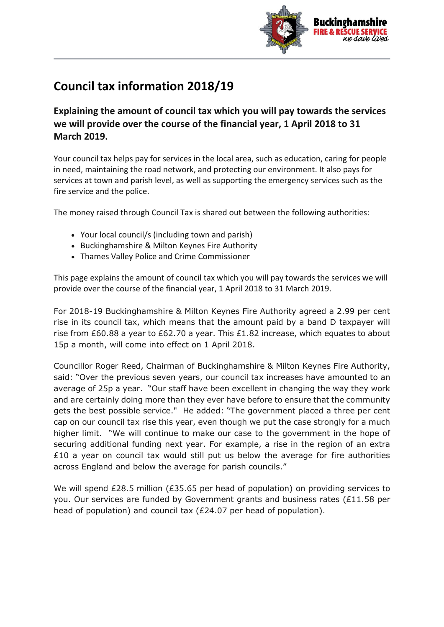

## **Council tax information 2018/19**

**Explaining the amount of council tax which you will pay towards the services we will provide over the course of the financial year, 1 April 2018 to 31 March 2019.**

Your council tax helps pay for services in the local area, such as education, caring for people in need, maintaining the road network, and protecting our environment. It also pays for services at town and parish level, as well as supporting the emergency services such as the fire service and the police.

The money raised through Council Tax is shared out between the following authorities:

- Your local council/s (including town and parish)
- Buckinghamshire & Milton Keynes Fire Authority
- Thames Valley Police and Crime Commissioner

This page explains the amount of council tax which you will pay towards the services we will provide over the course of the financial year, 1 April 2018 to 31 March 2019.

For 2018-19 Buckinghamshire & Milton Keynes Fire Authority agreed a 2.99 per cent rise in its council tax, which means that the amount paid by a band D taxpayer will rise from £60.88 a year to £62.70 a year. This £1.82 increase, which equates to about 15p a month, will come into effect on 1 April 2018.

Councillor Roger Reed, Chairman of Buckinghamshire & Milton Keynes Fire Authority, said: "Over the previous seven years, our council tax increases have amounted to an average of 25p a year. "Our staff have been excellent in changing the way they work and are certainly doing more than they ever have before to ensure that the community gets the best possible service." He added: "The government placed a three per cent cap on our council tax rise this year, even though we put the case strongly for a much higher limit. "We will continue to make our case to the government in the hope of securing additional funding next year. For example, a rise in the region of an extra  $£10$  a year on council tax would still put us below the average for fire authorities across England and below the average for parish councils."

We will spend £28.5 million (£35.65 per head of population) on providing services to you. Our services are funded by Government grants and business rates (£11.58 per head of population) and council tax (£24.07 per head of population).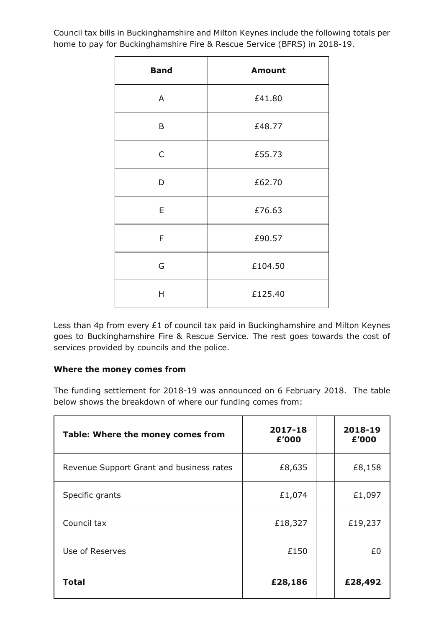Council tax bills in Buckinghamshire and Milton Keynes include the following totals per home to pay for Buckinghamshire Fire & Rescue Service (BFRS) in 2018-19.

 $\mathbf{r}$ 

| <b>Band</b> | <b>Amount</b> |  |  |  |
|-------------|---------------|--|--|--|
| A           | £41.80        |  |  |  |
| B           | £48.77        |  |  |  |
| C           | £55.73        |  |  |  |
| D           | £62.70        |  |  |  |
| E           | £76.63        |  |  |  |
| F           | £90.57        |  |  |  |
| G           | £104.50       |  |  |  |
| Η           | £125.40       |  |  |  |

Less than 4p from every £1 of council tax paid in Buckinghamshire and Milton Keynes goes to Buckinghamshire Fire & Rescue Service. The rest goes towards the cost of services provided by councils and the police.

## **Where the money comes from**

The funding settlement for 2018-19 was announced on 6 February 2018. The table below shows the breakdown of where our funding comes from:

| Table: Where the money comes from        | 2017-18<br>£'000 | 2018-19<br>£'000 |
|------------------------------------------|------------------|------------------|
| Revenue Support Grant and business rates | £8,635           | £8,158           |
| Specific grants                          | £1,074           | £1,097           |
| Council tax                              | £18,327          | £19,237          |
| Use of Reserves                          | £150             | £0               |
| <b>Total</b>                             | £28,186          | £28,492          |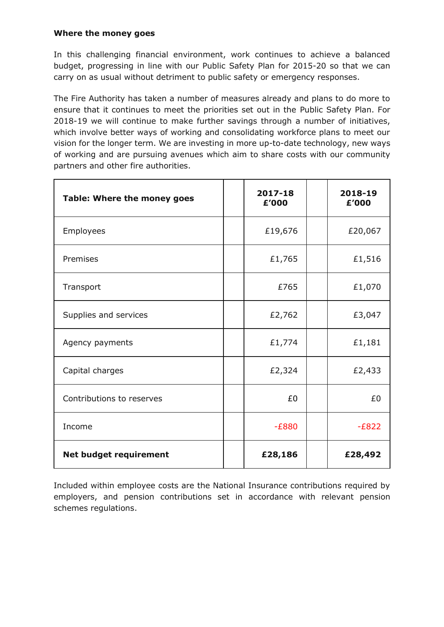## **Where the money goes**

In this challenging financial environment, work continues to achieve a balanced budget, progressing in line with our Public Safety Plan for 2015-20 so that we can carry on as usual without detriment to public safety or emergency responses.

The Fire Authority has taken a number of measures already and plans to do more to ensure that it continues to meet the priorities set out in the Public Safety Plan. For 2018-19 we will continue to make further savings through a number of initiatives, which involve better ways of working and consolidating workforce plans to meet our vision for the longer term. We are investing in more up-to-date technology, new ways of working and are pursuing avenues which aim to share costs with our community partners and other fire authorities.

| Table: Where the money goes   | 2017-18<br>£'000 | 2018-19<br>£'000 |
|-------------------------------|------------------|------------------|
| Employees                     | £19,676          | £20,067          |
| Premises                      | £1,765           | £1,516           |
| Transport                     | £765             | £1,070           |
| Supplies and services         | £2,762           | £3,047           |
| Agency payments               | £1,774           | £1,181           |
| Capital charges               | £2,324           | £2,433           |
| Contributions to reserves     | £0               | £0               |
| Income                        | $-E880$          | $-E822$          |
| <b>Net budget requirement</b> | £28,186          | £28,492          |

Included within employee costs are the National Insurance contributions required by employers, and pension contributions set in accordance with relevant pension schemes regulations.